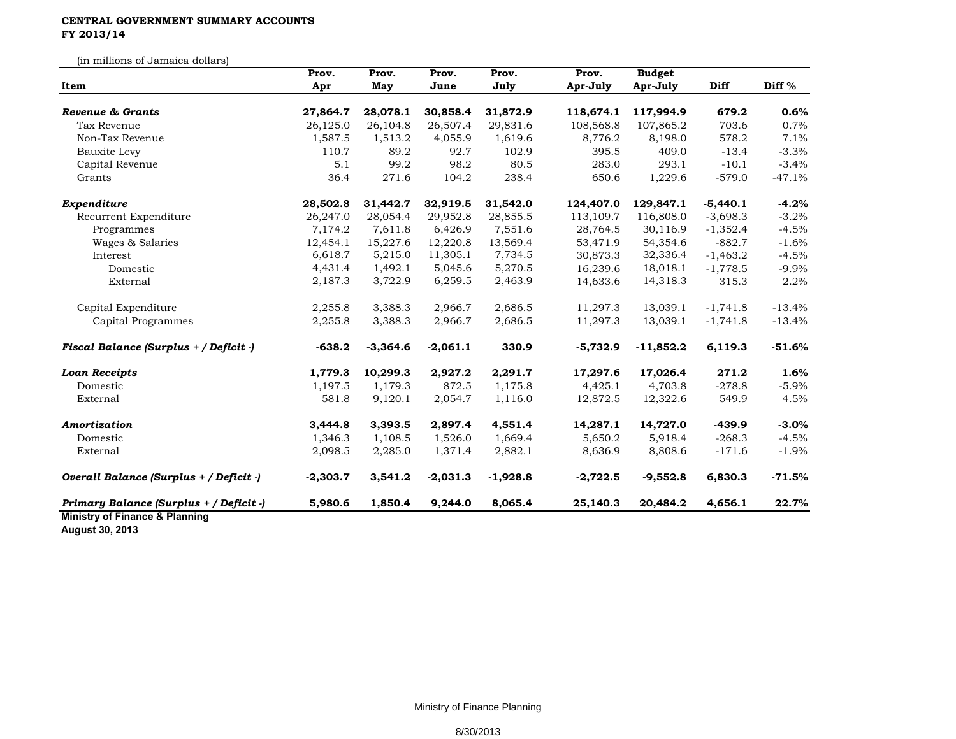## **CENTRAL GOVERNMENT SUMMARY ACCOUNTS FY 2013/14**

(in millions of Jamaica dollars)

| Item                                      | Prov.      | Prov.<br>May | Prov.<br>June | Prov.<br>July | Prov.<br>Apr-July | <b>Budget</b><br>Apr-July | Diff       | Diff %   |
|-------------------------------------------|------------|--------------|---------------|---------------|-------------------|---------------------------|------------|----------|
|                                           | Apr        |              |               |               |                   |                           |            |          |
|                                           |            |              |               |               |                   |                           |            |          |
| Revenue & Grants                          | 27,864.7   | 28,078.1     | 30,858.4      | 31,872.9      | 118,674.1         | 117,994.9                 | 679.2      | 0.6%     |
| Tax Revenue                               | 26,125.0   | 26,104.8     | 26,507.4      | 29,831.6      | 108,568.8         | 107,865.2                 | 703.6      | 0.7%     |
| Non-Tax Revenue                           | 1,587.5    | 1,513.2      | 4,055.9       | 1,619.6       | 8,776.2           | 8,198.0                   | 578.2      | 7.1%     |
| Bauxite Levy                              | 110.7      | 89.2         | 92.7          | 102.9         | 395.5             | 409.0                     | $-13.4$    | $-3.3%$  |
| Capital Revenue                           | 5.1        | 99.2         | 98.2          | 80.5          | 283.0             | 293.1                     | $-10.1$    | $-3.4%$  |
| Grants                                    | 36.4       | 271.6        | 104.2         | 238.4         | 650.6             | 1,229.6                   | $-579.0$   | $-47.1%$ |
| Expenditure                               | 28,502.8   | 31,442.7     | 32,919.5      | 31,542.0      | 124,407.0         | 129,847.1                 | $-5,440.1$ | $-4.2%$  |
| Recurrent Expenditure                     | 26,247.0   | 28,054.4     | 29,952.8      | 28,855.5      | 113,109.7         | 116,808.0                 | $-3,698.3$ | $-3.2%$  |
| Programmes                                | 7,174.2    | 7,611.8      | 6,426.9       | 7,551.6       | 28,764.5          | 30,116.9                  | $-1,352.4$ | $-4.5%$  |
| Wages & Salaries                          | 12,454.1   | 15,227.6     | 12,220.8      | 13,569.4      | 53,471.9          | 54,354.6                  | $-882.7$   | $-1.6%$  |
| Interest                                  | 6,618.7    | 5,215.0      | 11,305.1      | 7,734.5       | 30,873.3          | 32,336.4                  | $-1,463.2$ | $-4.5%$  |
| Domestic                                  | 4,431.4    | 1,492.1      | 5,045.6       | 5,270.5       | 16,239.6          | 18,018.1                  | $-1,778.5$ | $-9.9%$  |
| External                                  | 2,187.3    | 3,722.9      | 6,259.5       | 2,463.9       | 14,633.6          | 14,318.3                  | 315.3      | 2.2%     |
| Capital Expenditure                       | 2,255.8    | 3,388.3      | 2,966.7       | 2,686.5       | 11,297.3          | 13,039.1                  | $-1,741.8$ | $-13.4%$ |
| Capital Programmes                        | 2,255.8    | 3,388.3      | 2,966.7       | 2,686.5       | 11,297.3          | 13,039.1                  | $-1,741.8$ | $-13.4%$ |
| Fiscal Balance (Surplus + / Deficit -)    | $-638.2$   | $-3,364.6$   | $-2,061.1$    | 330.9         | $-5,732.9$        | $-11,852.2$               | 6,119.3    | $-51.6%$ |
| <b>Loan Receipts</b>                      | 1,779.3    | 10,299.3     | 2,927.2       | 2,291.7       | 17,297.6          | 17,026.4                  | 271.2      | 1.6%     |
| Domestic                                  | 1,197.5    | 1,179.3      | 872.5         | 1,175.8       | 4,425.1           | 4,703.8                   | $-278.8$   | $-5.9%$  |
| External                                  | 581.8      | 9,120.1      | 2,054.7       | 1,116.0       | 12,872.5          | 12,322.6                  | 549.9      | 4.5%     |
| Amortization                              | 3,444.8    | 3,393.5      | 2,897.4       | 4,551.4       | 14,287.1          | 14,727.0                  | $-439.9$   | $-3.0%$  |
| Domestic                                  | 1,346.3    | 1,108.5      | 1,526.0       | 1,669.4       | 5,650.2           | 5,918.4                   | $-268.3$   | $-4.5%$  |
| External                                  | 2,098.5    | 2,285.0      | 1,371.4       | 2,882.1       | 8,636.9           | 8,808.6                   | $-171.6$   | $-1.9%$  |
| Overall Balance (Surplus + / Deficit -)   | $-2,303.7$ | 3,541.2      | $-2,031.3$    | $-1,928.8$    | $-2,722.5$        | $-9,552.8$                | 6,830.3    | $-71.5%$ |
| Primary Balance (Surplus + / Deficit -)   | 5,980.6    | 1,850.4      | 9,244.0       | 8,065.4       | 25,140.3          | 20,484.2                  | 4,656.1    | 22.7%    |
| <b>Ministry of Finance &amp; Planning</b> |            |              |               |               |                   |                           |            |          |

**August 30, 2013**